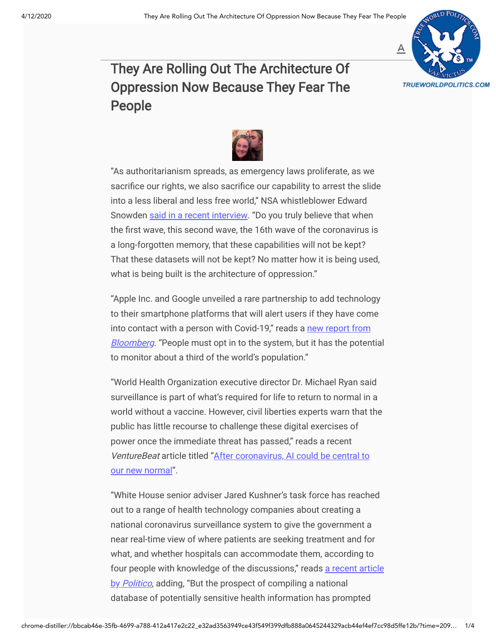

## They Are Rolling Out The Architecture Of [Oppression Now Because They Fear The](https://medium.com/@caityjohnstone/they-are-rolling-out-the-architecture-of-oppression-now-because-they-fear-the-people-d0d374509d) People



"As authoritarianism spreads, as emergency laws proliferate, as we sacrifice our rights, we also sacrifice our capability to arrest the slide into a less liberal and less free world," NSA whistleblower Edward Snowden [said in a recent interview](https://www.vice.com/en_us/article/bvge5q/snowden-warns-governments-are-using-coronavirus-to-build-the-architecture-of-oppression). "Do you truly believe that when the first wave, this second wave, the 16th wave of the coronavirus is a long-forgotten memory, that these capabilities will not be kept? That these datasets will not be kept? No matter how it is being used, what is being built is the architecture of oppression."

"Apple Inc. and Google unveiled a rare partnership to add technology to their smartphone platforms that will alert users if they have come [into contact with a person with Covid-19," reads a new report from](https://www.bloomberg.com/news/articles/2020-04-10/apple-google-bring-covid-19-contact-tracing-to-3-billion-people) Bloomberg. "People must opt in to the system, but it has the potential to monitor about a third of the world's population."

"World Health Organization executive director Dr. Michael Ryan said surveillance is part of what's required for life to return to normal in a world without a vaccine. However, civil liberties experts warn that the public has little recourse to challenge these digital exercises of power once the immediate threat has passed," reads a recent VentureBeat [article titled "After coronavirus, AI could be central to](https://venturebeat.com/2020/04/08/after-coronavirus-ai-could-be-central-to-our-new-normal/) our new normal".

"White House senior adviser Jared Kushner's task force has reached out to a range of health technology companies about creating a national coronavirus surveillance system to give the government a near real-time view of where patients are seeking treatment and for what, and whether hospitals can accommodate them, according to [four people with knowledge of the discussions," reads a recent article](https://www.politico.com/news/2020/04/07/kushner-coronavirus-surveillance-174165) by Politico, adding, "But the prospect of compiling a national database of potentially sensitive health information has prompted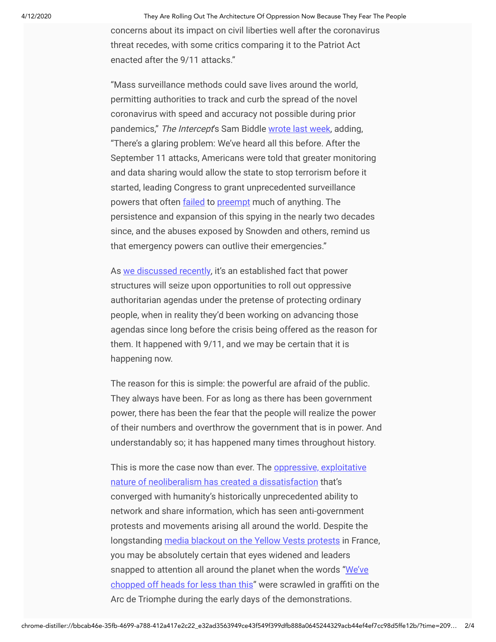4/12/2020 They Are Rolling Out The Architecture Of Oppression Now Because They Fear The People

concerns about its impact on civil liberties well after the coronavirus threat recedes, with some critics comparing it to the Patriot Act enacted after the 9/11 attacks."

"Mass surveillance methods could save lives around the world, permitting authorities to track and curb the spread of the novel coronavirus with speed and accuracy not possible during prior pandemics," The Intercept's Sam Biddle [wrote last week,](https://theintercept.com/2020/04/02/coronavirus-covid-19-surveillance-privacy/) adding, "There's a glaring problem: We've heard all this before. After the September 11 attacks, Americans were told that greater monitoring and data sharing would allow the state to stop terrorism before it started, leading Congress to grant unprecedented surveillance powers that often *[failed](https://www.propublica.org/article/whats-the-evidence-mass-surveillance-works-not-much)* to **preempt** much of anything. The persistence and expansion of this spying in the nearly two decades since, and the abuses exposed by Snowden and others, remind us that emergency powers can outlive their emergencies."

As [we discussed recently,](https://caitlinjohnstone.com/2020/04/07/prepare-to-have-your-worldview-obliterated/) it's an established fact that power structures will seize upon opportunities to roll out oppressive authoritarian agendas under the pretense of protecting ordinary people, when in reality they'd been working on advancing those agendas since long before the crisis being offered as the reason for them. It happened with 9/11, and we may be certain that it is happening now.

The reason for this is simple: the powerful are afraid of the public. They always have been. For as long as there has been government power, there has been the fear that the people will realize the power of their numbers and overthrow the government that is in power. And understandably so; it has happened many times throughout history.

[This is more the case now than ever. The oppressive, exploitative](https://www.jonathan-cook.net/blog/2018-09-20/neoliberal-order-dying-wake/) nature of neoliberalism has created a dissatisfaction that's converged with humanity's historically unprecedented ability to network and share information, which has seen anti-government protests and movements arising all around the world. Despite the longstanding [media blackout on the Yellow Vests protests](https://www.counterpunch.org/2018/12/12/blacking-out-the-yellow-vests-on-cable-news-corporate-media-doing-its-job/) in France, you may be absolutely certain that eyes widened and leaders snapped to attention all around the planet when the words "We've chopped off heads for less than this" were scrawled in graffiti on the Arc de Triomphe during the early days of the demonstrations.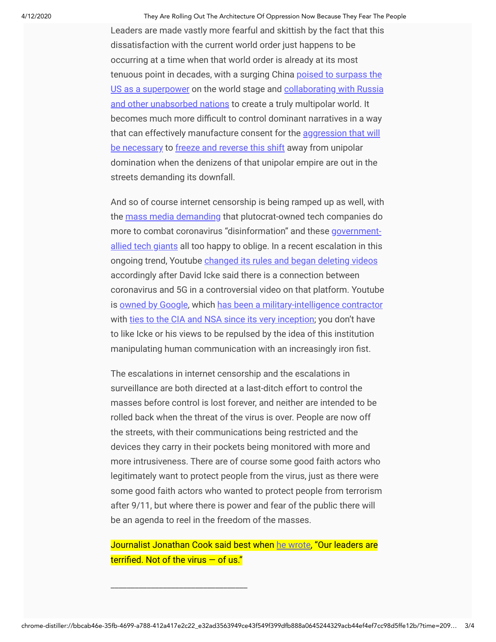4/12/2020 They Are Rolling Out The Architecture Of Oppression Now Because They Fear The People

Leaders are made vastly more fearful and skittish by the fact that this dissatisfaction with the current world order just happens to be occurring at a time when that world order is already at its most [tenuous point in decades, with a surging China poised to surpass the](https://caitlinjohnstone.com/2020/04/08/anti-china-hysteria-is-ultimately-not-about-covid-19-racism-or-communism-but-power/) [US as a superpower on the world stage and collaborating with Russia](https://twitter.com/caitoz/status/1248369007750569986) and other unabsorbed nations to create a truly multipolar world. It becomes much more difficult to control dominant narratives in a way [that can effectively manufacture consent for the aggression that will](https://www.scmp.com/news/china/military/article/3079303/us-military-researchers-call-use-privateers-against-china) be necessary to [freeze and reverse this shift](https://twitter.com/ForeignPolicy/status/1248570172731994112) away from unipolar domination when the denizens of that unipolar empire are out in the streets demanding its downfall.

And so of course internet censorship is being ramped up as well, with the [mass media demanding](https://caitlinjohnstone.com/2020/03/31/peoples-skepticism-about-covid-19-is-the-fault-of-the-lying-mass-media/) that plutocrat-owned tech companies do more to combat coronavirus "disinformation" and these government[allied tech giants all too happy to oblige. In a recent escalation in this](https://caitlinjohnstone.com/2019/05/11/silicon-valley-giants-collaborate-with-the-us-government-on-venezuela/) ongoing trend, Youtube [changed its rules and began deleting videos](https://www.bbc.com/news/technology-52198946) accordingly after David Icke said there is a connection between coronavirus and 5G in a controversial video on that platform. Youtube is [owned by Google](https://en.wikipedia.org/wiki/YouTube), which [has been a military-intelligence contractor](https://surveillancevalley.com/blog/google-has-been-a-military-contractor-from-the-very-beginning) with [ties to the CIA and NSA since its very inception;](https://qz.com/1145669/googles-true-origin-partly-lies-in-cia-and-nsa-research-grants-for-mass-surveillance/) you don't have to like Icke or his views to be repulsed by the idea of this institution manipulating human communication with an increasingly iron fist.

The escalations in internet censorship and the escalations in surveillance are both directed at a last-ditch effort to control the masses before control is lost forever, and neither are intended to be rolled back when the threat of the virus is over. People are now off the streets, with their communications being restricted and the devices they carry in their pockets being monitored with more and more intrusiveness. There are of course some good faith actors who legitimately want to protect people from the virus, just as there were some good faith actors who wanted to protect people from terrorism after 9/11, but where there is power and fear of the public there will be an agenda to reel in the freedom of the masses.

Journalist Jonathan Cook said best when [he wrote](https://www.jonathan-cook.net/blog/2020-03-24/coronavirus-terrified-us/), "Our leaders are terrified. Not of the virus  $-$  of us."

\_\_\_\_\_\_\_\_\_\_\_\_\_\_\_\_\_\_\_\_\_\_\_\_\_\_\_\_\_\_\_\_\_\_